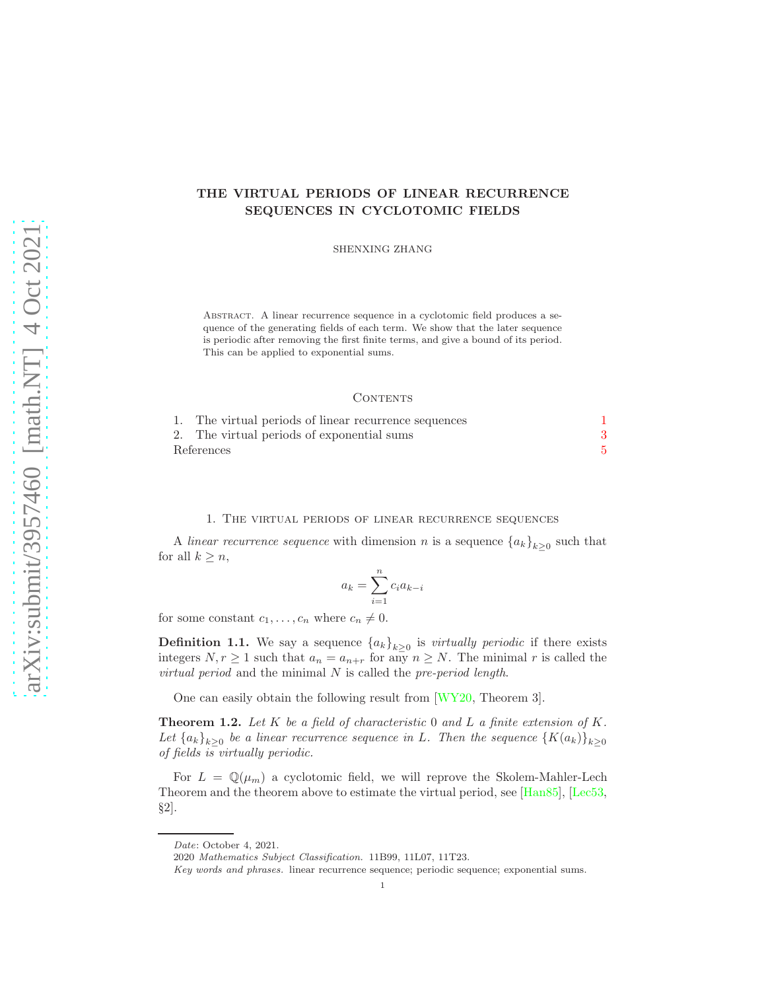# THE VIRTUAL PERIODS OF LINEAR RECURRENCE SEQUENCES IN CYCLOTOMIC FIELDS

SHENXING ZHANG

Abstract. A linear recurrence sequence in a cyclotomic field produces a sequence of the generating fields of each term. We show that the later sequence is periodic after removing the first finite terms, and give a bound of its period. This can be applied to exponential sums.

### **CONTENTS**

| 1. The virtual periods of linear recurrence sequences |  |
|-------------------------------------------------------|--|
| 2. The virtual periods of exponential sums            |  |
| References                                            |  |

## 1. The virtual periods of linear recurrence sequences

<span id="page-0-0"></span>A *linear recurrence sequence* with dimension *n* is a sequence  ${a_k}_{k\geq 0}$  such that for all  $k \geq n$ ,

$$
a_k = \sum_{i=1}^n c_i a_{k-i}
$$

for some constant  $c_1, \ldots, c_n$  where  $c_n \neq 0$ .

**Definition 1.1.** We say a sequence  ${a_k}_{k\geq 0}$  is *virtually periodic* if there exists integers  $N, r \geq 1$  such that  $a_n = a_{n+r}$  for any  $n \geq N$ . The minimal r is called the *virtual period* and the minimal  $N$  is called the *pre-period length*.

One can easily obtain the following result from [\[WY20,](#page-4-1) Theorem 3].

**Theorem 1.2.** Let  $K$  be a field of characteristic 0 and  $L$  a finite extension of  $K$ . Let  ${a_k}_{k\geq0}$  be a linear recurrence sequence in L. Then the sequence  ${K(a_k)}_{k\geq0}$ of fields is virtually periodic.

For  $L = \mathbb{Q}(\mu_m)$  a cyclotomic field, we will reprove the Skolem-Mahler-Lech Theorem and the theorem above to estimate the virtual period, see [\[Han85\]](#page-4-2), [\[Lec53,](#page-4-3)  $\S2$ .

*Date*: October 4, 2021.

<sup>2020</sup> *Mathematics Subject Classification.* 11B99, 11L07, 11T23.

*Key words and phrases.* linear recurrence sequence; periodic sequence; exponential sums.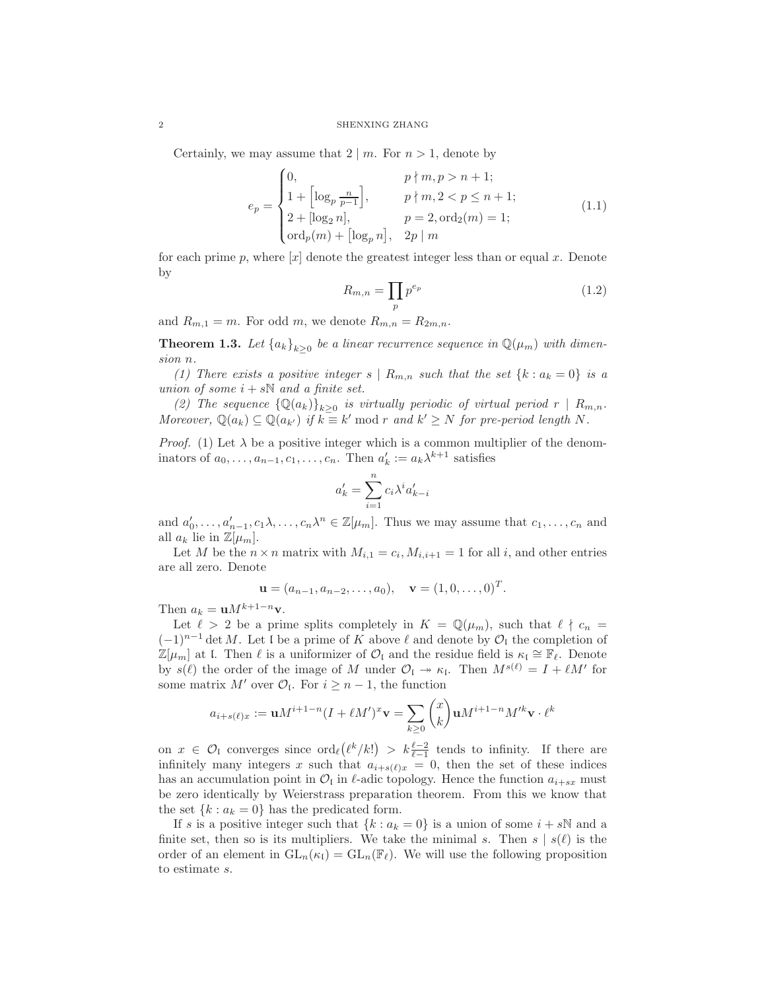#### 2 SHENXING ZHANG

Certainly, we may assume that  $2 \mid m$ . For  $n > 1$ , denote by

$$
e_p = \begin{cases} 0, & p \nmid m, p > n + 1; \\ 1 + \left[ \log_p \frac{n}{p-1} \right], & p \nmid m, 2 < p \le n + 1; \\ 2 + \left[ \log_2 n \right], & p = 2, \text{ord}_2(m) = 1; \\ \text{ord}_p(m) + \left[ \log_p n \right], & 2p \mid m \end{cases}
$$
(1.1)

for each prime p, where  $|x|$  denote the greatest integer less than or equal x. Denote by

$$
R_{m,n} = \prod_p p^{e_p} \tag{1.2}
$$

and  $R_{m,1} = m$ . For odd m, we denote  $R_{m,n} = R_{2m,n}$ .

<span id="page-1-0"></span>**Theorem 1.3.** Let  $\{a_k\}_{k\geq 0}$  be a linear recurrence sequence in  $\mathbb{Q}(\mu_m)$  with dimension n.

(1) There exists a positive integer s |  $R_{m,n}$  such that the set  $\{k : a_k = 0\}$  is a union of some  $i + s\mathbb{N}$  and a finite set.

(2) The sequence  $\{ \mathbb{Q}(a_k) \}_{k \geq 0}$  is virtually periodic of virtual period  $r \mid R_{m,n}$ . Moreover,  $\mathbb{Q}(a_k) \subseteq \mathbb{Q}(a_{k'})$  if  $k \equiv k' \mod r$  and  $k' \geq N$  for pre-period length N.

*Proof.* (1) Let  $\lambda$  be a positive integer which is a common multiplier of the denominators of  $a_0, \ldots, a_{n-1}, c_1, \ldots, c_n$ . Then  $a'_k := a_k \lambda^{k+1}$  satisfies

$$
a'_k = \sum_{i=1}^n c_i \lambda^i a'_{k-i}
$$

and  $a'_0, \ldots, a'_{n-1}, c_1 \lambda, \ldots, c_n \lambda^n \in \mathbb{Z}[\mu_m]$ . Thus we may assume that  $c_1, \ldots, c_n$  and all  $a_k$  lie in  $\mathbb{Z}[\mu_m]$ .

Let M be the  $n \times n$  matrix with  $M_{i,1} = c_i, M_{i,i+1} = 1$  for all i, and other entries are all zero. Denote

$$
\mathbf{u} = (a_{n-1}, a_{n-2}, \dots, a_0), \quad \mathbf{v} = (1, 0, \dots, 0)^T.
$$

Then  $a_k = \mathbf{u} M^{k+1-n} \mathbf{v}$ .

Let  $\ell > 2$  be a prime splits completely in  $K = \mathbb{Q}(\mu_m)$ , such that  $\ell \nmid c_n =$  $(-1)^{n-1}$  det M. Let l be a prime of K above  $\ell$  and denote by  $\mathcal{O}_\ell$  the completion of  $\mathbb{Z}[\mu_m]$  at l. Then  $\ell$  is a uniformizer of  $\mathcal{O}_\ell$  and the residue field is  $\kappa_\ell \cong \mathbb{F}_\ell$ . Denote by  $s(\ell)$  the order of the image of M under  $\mathcal{O}_\ell \to \kappa_\ell$ . Then  $M^{s(\ell)} = I + \ell M'$  for some matrix  $M'$  over  $\mathcal{O}_1$ . For  $i \geq n-1$ , the function

$$
a_{i+s(\ell)x} := \mathbf{u}M^{i+1-n}(I+\ell M')^x \mathbf{v} = \sum_{k\geq 0} {x \choose k} \mathbf{u}M^{i+1-n}M'^k \mathbf{v} \cdot \ell^k
$$

on  $x \in \mathcal{O}_I$  converges since  $\text{ord}_{\ell}(\ell^k/k!) > k_{\ell-1}^{\ell-2}$  tends to infinity. If there are infinitely many integers x such that  $a_{i+s(\ell)x} = 0$ , then the set of these indices has an accumulation point in  $\mathcal{O}_1$  in  $\ell$ -adic topology. Hence the function  $a_{i+sx}$  must be zero identically by Weierstrass preparation theorem. From this we know that the set  ${k : a_k = 0}$  has the predicated form.

If s is a positive integer such that  ${k : a_k = 0}$  is a union of some  $i + sN$  and a finite set, then so is its multipliers. We take the minimal s. Then  $s | s(\ell)$  is the order of an element in  $GL_n(\kappa_l) = GL_n(\mathbb{F}_\ell)$ . We will use the following proposition to estimate s.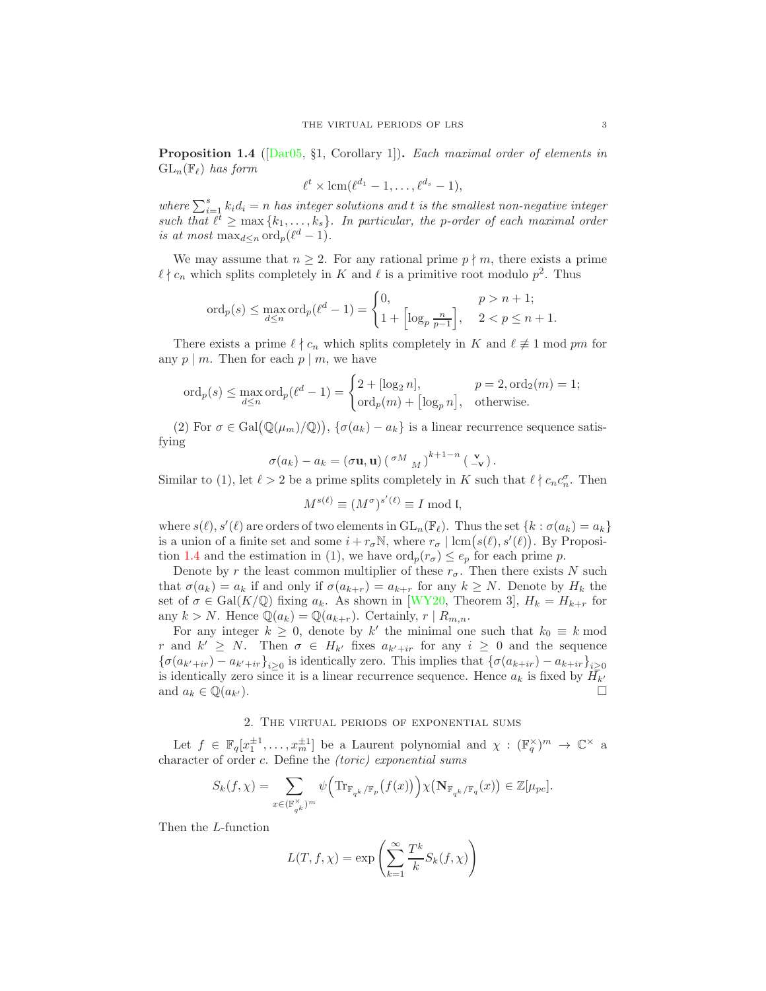<span id="page-2-1"></span>**Proposition 1.4** ( $\text{Dar}05$ , §1, Corollary 1). Each maximal order of elements in  $GL_n(\mathbb{F}_{\ell})$  has form

$$
\ell^t \times \operatorname{lcm}(\ell^{d_1}-1,\ldots,\ell^{d_s}-1),
$$

where  $\sum_{i=1}^{s} k_i d_i = n$  has integer solutions and t is the smallest non-negative integer such that  $\ell^t \geq \max\{k_1,\ldots,k_s\}$ . In particular, the p-order of each maximal order is at most  $\max_{d \leq n} \operatorname{ord}_p(\ell^d-1)$ .

We may assume that  $n \geq 2$ . For any rational prime  $p \nmid m$ , there exists a prime  $\ell \nmid c_n$  which splits completely in K and  $\ell$  is a primitive root modulo  $p^2$ . Thus

$$
\text{ord}_p(s) \le \max_{d \le n} \text{ord}_p(\ell^d - 1) = \begin{cases} 0, & p > n+1; \\ 1 + \left[ \log_p \frac{n}{p-1} \right], & 2 < p \le n+1. \end{cases}
$$

There exists a prime  $\ell \nmid c_n$  which splits completely in K and  $\ell \not\equiv 1 \mod pm$  for any  $p \mid m$ . Then for each  $p \mid m$ , we have

$$
\text{ord}_p(s) \le \max_{d \le n} \text{ord}_p(\ell^d - 1) = \begin{cases} 2 + [\log_2 n], & p = 2, \text{ord}_2(m) = 1; \\ \text{ord}_p(m) + [\log_p n], & \text{otherwise.} \end{cases}
$$

(2) For  $\sigma \in \text{Gal}(\mathbb{Q}(\mu_m)/\mathbb{Q})$ ,  $\{\sigma(a_k) - a_k\}$  is a linear recurrence sequence satisfying

$$
\sigma(a_k) - a_k = (\sigma \mathbf{u}, \mathbf{u}) (\begin{bmatrix} \sigma M & \\ M \end{bmatrix})^{k+1-n} (\begin{bmatrix} \mathbf{v} \\ -\mathbf{v} \end{bmatrix}).
$$

Similar to (1), let  $\ell > 2$  be a prime splits completely in K such that  $\ell \nmid c_n c_n^{\sigma}$ . Then

$$
M^{s(\ell)} \equiv (M^{\sigma})^{s'(\ell)} \equiv I \bmod \mathfrak{l},
$$

where  $s(\ell), s'(\ell)$  are orders of two elements in  $GL_n(\mathbb{F}_{\ell})$ . Thus the set  $\{k : \sigma(a_k) = a_k\}$ is a union of a finite set and some  $i + r_{\sigma} \mathbb{N}$ , where  $r_{\sigma} \mid \text{lcm}(s(\ell), s'(\ell))$ . By Proposi-tion [1.4](#page-2-1) and the estimation in (1), we have  $\text{ord}_p(r_\sigma) \leq e_p$  for each prime p.

Denote by r the least common multiplier of these  $r_{\sigma}$ . Then there exists N such that  $\sigma(a_k) = a_k$  if and only if  $\sigma(a_{k+r}) = a_{k+r}$  for any  $k \geq N$ . Denote by  $H_k$  the set of  $\sigma \in \text{Gal}(K/\mathbb{Q})$  fixing  $a_k$ . As shown in [\[WY20,](#page-4-1) Theorem 3],  $H_k = H_{k+r}$  for any  $k > N$ . Hence  $\mathbb{Q}(a_k) = \mathbb{Q}(a_{k+r})$ . Certainly,  $r | R_{m,n}$ .

For any integer  $k \geq 0$ , denote by k' the minimal one such that  $k_0 \equiv k \mod 1$ r and  $k' \geq N$ . Then  $\sigma \in H_{k'}$  fixes  $a_{k'+ir}$  for any  $i \geq 0$  and the sequence  ${\{\sigma(a_{k'+ir}) - a_{k'+ir}\}}_{i\geq 0}$  is identically zero. This implies that  ${\{\sigma(a_{k+ir}) - a_{k+ir}\}}_{i\geq 0}$ is identically zero since it is a linear recurrence sequence. Hence  $a_k$  is fixed by  $H_{k'}$ and  $a_k \in \mathbb{Q}(a_{k'}).$ 

## 2. The virtual periods of exponential sums

<span id="page-2-0"></span>Let  $f \in \mathbb{F}_q[x_1^{\pm 1}, \ldots, x_m^{\pm 1}]$  be a Laurent polynomial and  $\chi : (\mathbb{F}_q^{\times})^m \to \mathbb{C}^{\times}$  a character of order c. Define the (toric) exponential sums

$$
S_k(f,\chi)=\sum_{x\in(\mathbb{F}_{q^k}^{\times})^m}\psi\Big(\text{Tr}_{\mathbb{F}_{q^k}/\mathbb{F}_p}\big(f(x)\big)\Big)\chi\big(\mathbf{N}_{\mathbb{F}_{q^k}/\mathbb{F}_q}(x)\big)\in\mathbb{Z}[\mu_{pc}].
$$

Then the L-function

$$
L(T, f, \chi) = \exp\left(\sum_{k=1}^{\infty} \frac{T^k}{k} S_k(f, \chi)\right)
$$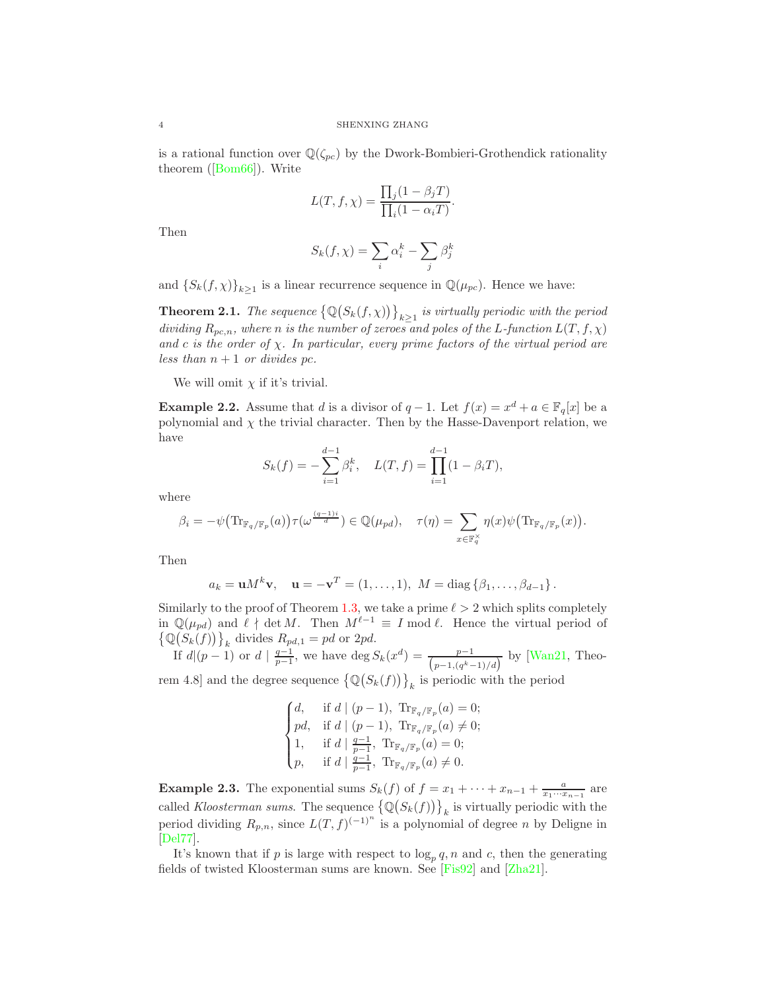is a rational function over  $\mathbb{Q}(\zeta_{pc})$  by the Dwork-Bombieri-Grothendick rationality theorem ([\[Bom66\]](#page-4-5)). Write

$$
L(T, f, \chi) = \frac{\prod_j (1 - \beta_j T)}{\prod_i (1 - \alpha_i T)}.
$$

Then

$$
S_k(f, \chi) = \sum_i \alpha_i^k - \sum_j \beta_j^k
$$

and  $\{S_k(f, \chi)\}_{k\geq 1}$  is a linear recurrence sequence in  $\mathbb{Q}(\mu_{pc})$ . Hence we have:

**Theorem 2.1.** The sequence  $\{ \mathbb{Q}(S_k(f, \chi)) \}_{k \geq 1}$  is virtually periodic with the period dividing  $R_{pc,n}$ , where n is the number of zeroes and poles of the L-function  $L(T, f, \chi)$ and c is the order of  $\chi$ . In particular, every prime factors of the virtual period are less than  $n + 1$  or divides pc.

We will omit  $\chi$  if it's trivial.

**Example 2.2.** Assume that d is a divisor of  $q-1$ . Let  $f(x) = x^d + a \in \mathbb{F}_q[x]$  be a polynomial and  $\chi$  the trivial character. Then by the Hasse-Davenport relation, we have

$$
S_k(f) = -\sum_{i=1}^{d-1} \beta_i^k, \quad L(T, f) = \prod_{i=1}^{d-1} (1 - \beta_i T),
$$

where

$$
\beta_i = -\psi\left(\operatorname{Tr}_{\mathbb{F}_q/\mathbb{F}_p}(a)\right)\tau(\omega^{\frac{(q-1)i}{d}}) \in \mathbb{Q}(\mu_{pd}), \quad \tau(\eta) = \sum_{x \in \mathbb{F}_q^{\times}} \eta(x)\psi\left(\operatorname{Tr}_{\mathbb{F}_q/\mathbb{F}_p}(x)\right).
$$

Then

$$
a_k = \mathbf{u}M^k\mathbf{v}, \quad \mathbf{u} = -\mathbf{v}^T = (1,\ldots,1), \ M = \text{diag}\left\{\beta_1,\ldots,\beta_{d-1}\right\}.
$$

Similarly to the proof of Theorem [1.3,](#page-1-0) we take a prime  $\ell > 2$  which splits completely in  $\mathbb{Q}(\mu_{pd})$  and  $\ell \nmid \det M$ . Then  $M^{\ell-1} \equiv I \mod \ell$ . Hence the virtual period of  $\left\{ \mathbb{Q}\big( S_k(f) \big) \right\}_k$  divides  $R_{pd,1} = pd$  or 2pd.

If  $d|(p-1)$  or  $d | \frac{q-1}{p-1}$ , we have  $\deg S_k(x^d) = \frac{p-1}{(p-1)(q^k-1)/d}$  by [\[Wan21,](#page-4-6) Theo-

rem 4.8] and the degree sequence  $\{ \mathbb{Q}(S_k(f)) \}_k$  is periodic with the period

$$
\begin{cases} d, & \text{if } d \mid (p-1), \text{ Tr}_{\mathbb{F}_q/\mathbb{F}_p}(a) = 0; \\ pd, & \text{if } d \mid (p-1), \text{ Tr}_{\mathbb{F}_q/\mathbb{F}_p}(a) \neq 0; \\ 1, & \text{if } d \mid \frac{q-1}{p-1}, \text{ Tr}_{\mathbb{F}_q/\mathbb{F}_p}(a) = 0; \\ p, & \text{if } d \mid \frac{q-1}{p-1}, \text{ Tr}_{\mathbb{F}_q/\mathbb{F}_p}(a) \neq 0. \end{cases}
$$

**Example 2.3.** The exponential sums  $S_k(f)$  of  $f = x_1 + \cdots + x_{n-1} + \frac{a}{x_1 \cdots x_{n-1}}$  are called Kloosterman sums. The sequence  $\{ \mathbb{Q}(S_k(f)) \}_{k}$  is virtually periodic with the period dividing  $R_{p,n}$ , since  $L(T, f)^{(-1)^n}$  is a polynomial of degree n by Deligne in [\[Del77\]](#page-4-7).

It's known that if p is large with respect to  $\log_p q$ , n and c, then the generating fields of twisted Kloosterman sums are known. See [\[Fis92\]](#page-4-8) and [\[Zha21\]](#page-4-9).